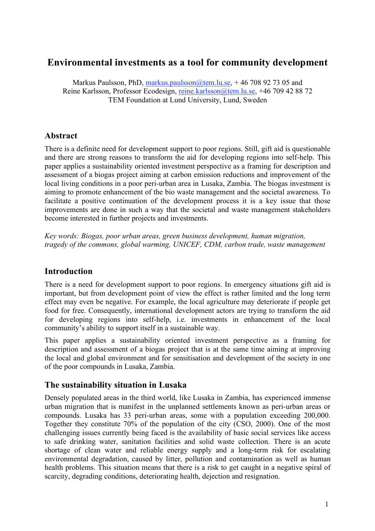# **Environmental investments as a tool for community development**

Markus Paulsson, PhD, markus.paulsson@tem.lu.se,  $+46708927305$  and Reine Karlsson, Professor Ecodesign, reine.karlsson@tem.lu.se, +46 709 42 88 72 TEM Foundation at Lund University, Lund, Sweden

# **Abstract**

There is a definite need for development support to poor regions. Still, gift aid is questionable and there are strong reasons to transform the aid for developing regions into self-help. This paper applies a sustainability oriented investment perspective as a framing for description and assessment of a biogas project aiming at carbon emission reductions and improvement of the local living conditions in a poor peri-urban area in Lusaka, Zambia. The biogas investment is aiming to promote enhancement of the bio waste management and the societal awareness. To facilitate a positive continuation of the development process it is a key issue that those improvements are done in such a way that the societal and waste management stakeholders become interested in further projects and investments.

*Key words: Biogas, poor urban areas, green business development, human migration, tragedy of the commons, global warming, UNICEF, CDM, carbon trade, waste management*

# **Introduction**

There is a need for development support to poor regions. In emergency situations gift aid is important, but from development point of view the effect is rather limited and the long term effect may even be negative. For example, the local agriculture may deteriorate if people get food for free. Consequently, international development actors are trying to transform the aid for developing regions into self-help, i.e. investments in enhancement of the local community's ability to support itself in a sustainable way.

This paper applies a sustainability oriented investment perspective as a framing for description and assessment of a biogas project that is at the same time aiming at improving the local and global environment and for sensitisation and development of the society in one of the poor compounds in Lusaka, Zambia.

#### **The sustainability situation in Lusaka**

Densely populated areas in the third world, like Lusaka in Zambia, has experienced immense urban migration that is manifest in the unplanned settlements known as peri-urban areas or compounds. Lusaka has 33 peri-urban areas, some with a population exceeding 200,000. Together they constitute 70% of the population of the city (CSO, 2000). One of the most challenging issues currently being faced is the availability of basic social services like access to safe drinking water, sanitation facilities and solid waste collection. There is an acute shortage of clean water and reliable energy supply and a long-term risk for escalating environmental degradation, caused by litter, pollution and contamination as well as human health problems. This situation means that there is a risk to get caught in a negative spiral of scarcity, degrading conditions, deteriorating health, dejection and resignation.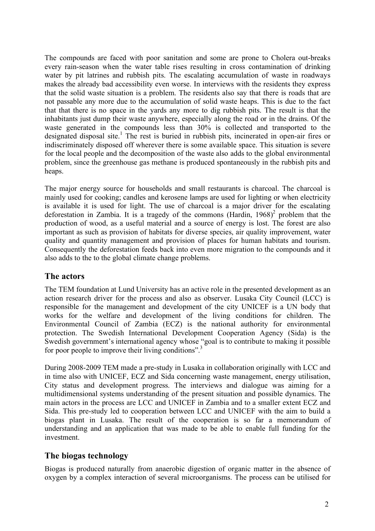The compounds are faced with poor sanitation and some are prone to Cholera out-breaks every rain-season when the water table rises resulting in cross contamination of drinking water by pit latrines and rubbish pits. The escalating accumulation of waste in roadways makes the already bad accessibility even worse. In interviews with the residents they express that the solid waste situation is a problem. The residents also say that there is roads that are not passable any more due to the accumulation of solid waste heaps. This is due to the fact that that there is no space in the yards any more to dig rubbish pits. The result is that the inhabitants just dump their waste anywhere, especially along the road or in the drains. Of the waste generated in the compounds less than 30% is collected and transported to the designated disposal site. <sup>1</sup> The rest is buried in rubbish pits, incinerated in open-air fires or indiscriminately disposed off wherever there is some available space. This situation is severe for the local people and the decomposition of the waste also adds to the global environmental problem, since the greenhouse gas methane is produced spontaneously in the rubbish pits and heaps.

The major energy source for households and small restaurants is charcoal. The charcoal is mainly used for cooking; candles and kerosene lamps are used for lighting or when electricity is available it is used for light. The use of charcoal is a major driver for the escalating deforestation in Zambia. It is a tragedy of the commons (Hardin,  $1968$ )<sup>2</sup> problem that the production of wood, as a useful material and a source of energy is lost. The forest are also important as such as provision of habitats for diverse species, air quality improvement, water quality and quantity management and provision of places for human habitats and tourism. Consequently the deforestation feeds back into even more migration to the compounds and it also adds to the to the global climate change problems.

#### **The actors**

The TEM foundation at Lund University has an active role in the presented development as an action research driver for the process and also as observer. Lusaka City Council (LCC) is responsible for the management and development of the city UNICEF is a UN body that works for the welfare and development of the living conditions for children. The Environmental Council of Zambia (ECZ) is the national authority for environmental protection. The Swedish International Development Cooperation Agency (Sida) is the Swedish government's international agency whose "goal is to contribute to making it possible for poor people to improve their living conditions".<sup>3</sup>

During 2008-2009 TEM made a pre-study in Lusaka in collaboration originally with LCC and in time also with UNICEF, ECZ and Sida concerning waste management, energy utilisation, City status and development progress. The interviews and dialogue was aiming for a multidimensional systems understanding of the present situation and possible dynamics. The main actors in the process are LCC and UNICEF in Zambia and to a smaller extent ECZ and Sida. This pre-study led to cooperation between LCC and UNICEF with the aim to build a biogas plant in Lusaka. The result of the cooperation is so far a memorandum of understanding and an application that was made to be able to enable full funding for the investment.

# **The biogas technology**

Biogas is produced naturally from anaerobic digestion of organic matter in the absence of oxygen by a complex interaction of several microorganisms. The process can be utilised for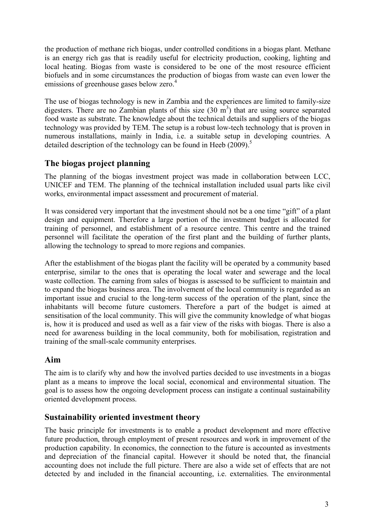the production of methane rich biogas, under controlled conditions in a biogas plant. Methane is an energy rich gas that is readily useful for electricity production, cooking, lighting and local heating. Biogas from waste is considered to be one of the most resource efficient biofuels and in some circumstances the production of biogas from waste can even lower the emissions of greenhouse gases below zero.<sup>4</sup>

The use of biogas technology is new in Zambia and the experiences are limited to family-size digesters. There are no Zambian plants of this size  $(30 \text{ m}^3)$  that are using source separated food waste as substrate. The knowledge about the technical details and suppliers of the biogas technology was provided by TEM. The setup is a robust low-tech technology that is proven in numerous installations, mainly in India, i.e. a suitable setup in developing countries. A detailed description of the technology can be found in Heeb (2009).<sup>5</sup>

# **The biogas project planning**

The planning of the biogas investment project was made in collaboration between LCC, UNICEF and TEM. The planning of the technical installation included usual parts like civil works, environmental impact assessment and procurement of material.

It was considered very important that the investment should not be a one time "gift" of a plant design and equipment. Therefore a large portion of the investment budget is allocated for training of personnel, and establishment of a resource centre. This centre and the trained personnel will facilitate the operation of the first plant and the building of further plants, allowing the technology to spread to more regions and companies.

After the establishment of the biogas plant the facility will be operated by a community based enterprise, similar to the ones that is operating the local water and sewerage and the local waste collection. The earning from sales of biogas is assessed to be sufficient to maintain and to expand the biogas business area. The involvement of the local community is regarded as an important issue and crucial to the long-term success of the operation of the plant, since the inhabitants will become future customers. Therefore a part of the budget is aimed at sensitisation of the local community. This will give the community knowledge of what biogas is, how it is produced and used as well as a fair view of the risks with biogas. There is also a need for awareness building in the local community, both for mobilisation, registration and training of the small-scale community enterprises.

# **Aim**

The aim is to clarify why and how the involved parties decided to use investments in a biogas plant as a means to improve the local social, economical and environmental situation. The goal is to assess how the ongoing development process can instigate a continual sustainability oriented development process.

# **Sustainability oriented investment theory**

The basic principle for investments is to enable a product development and more effective future production, through employment of present resources and work in improvement of the production capability. In economics, the connection to the future is accounted as investments and depreciation of the financial capital. However it should be noted that, the financial accounting does not include the full picture. There are also a wide set of effects that are not detected by and included in the financial accounting, i.e. externalities. The environmental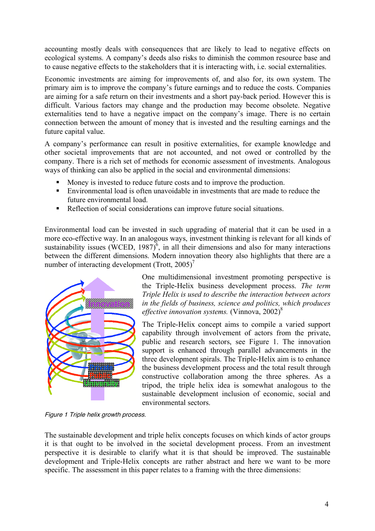accounting mostly deals with consequences that are likely to lead to negative effects on ecological systems. A company's deeds also risks to diminish the common resource base and to cause negative effects to the stakeholders that it is interacting with, i.e. social externalities.

Economic investments are aiming for improvements of, and also for, its own system. The primary aim is to improve the company's future earnings and to reduce the costs. Companies are aiming for a safe return on their investments and a short pay-back period. However this is difficult. Various factors may change and the production may become obsolete. Negative externalities tend to have a negative impact on the company's image. There is no certain connection between the amount of money that is invested and the resulting earnings and the future capital value.

A company's performance can result in positive externalities, for example knowledge and other societal improvements that are not accounted, and not owed or controlled by the company. There is a rich set of methods for economic assessment of investments. Analogous ways of thinking can also be applied in the social and environmental dimensions:

- Money is invested to reduce future costs and to improve the production.
- Environmental load is often unavoidable in investments that are made to reduce the future environmental load.
- Reflection of social considerations can improve future social situations.

Environmental load can be invested in such upgrading of material that it can be used in a more eco-effective way. In an analogous ways, investment thinking is relevant for all kinds of sustainability issues (WCED, 1987)<sup> $6$ </sup>, in all their dimensions and also for many interactions between the different dimensions. Modern innovation theory also highlights that there are a number of interacting development (Trott,  $2005$ )<sup>7</sup>



One multidimensional investment promoting perspective is the Triple-Helix business development process. *The term Triple Helix is used to describe the interaction between actors in the fields of business, science and politics, which produces effective innovation systems.* (Vinnova, 2002)8

The Triple-Helix concept aims to compile a varied support capability through involvement of actors from the private, public and research sectors, see Figure 1. The innovation support is enhanced through parallel advancements in the three development spirals. The Triple-Helix aim is to enhance the business development process and the total result through constructive collaboration among the three spheres. As a tripod, the triple helix idea is somewhat analogous to the sustainable development inclusion of economic, social and environmental sectors.

Figure 1 Triple helix growth process.

The sustainable development and triple helix concepts focuses on which kinds of actor groups it is that ought to be involved in the societal development process. From an investment perspective it is desirable to clarify what it is that should be improved. The sustainable development and Triple-Helix concepts are rather abstract and here we want to be more specific. The assessment in this paper relates to a framing with the three dimensions: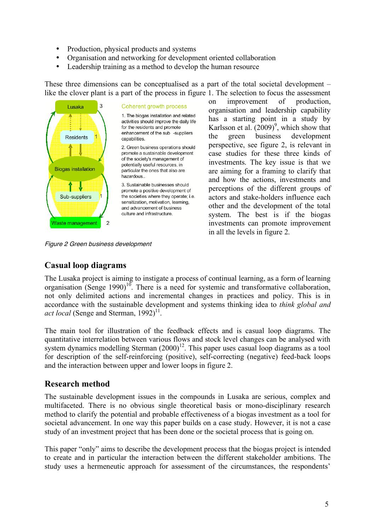- Production, physical products and systems
- Organisation and networking for development oriented collaboration
- Leadership training as a method to develop the human resource

These three dimensions can be conceptualised as a part of the total societal development – like the clover plant is a part of the process in figure 1. The selection to focus the assessment



#### Coherent growth process

1. The biogas installation and related activities should improve the daily life for the residents and promote enhancement of the sub -suppliers canabilities

2. Green business operations should promote a sustainable development of the society's management of potentially useful resources, in particular the ones that also are hazardous..

3. Sustainable businesses should promote a positive development of the societies where they operate; i.e. sensitization, motivation, learning, and advancement of business culture and infrastructure.

Figure 2 Green business development

on improvement of production, organisation and leadership capability has a starting point in a study by Karlsson et al.  $(2009)^9$ , which show that the green business development perspective, see figure 2, is relevant in case studies for these three kinds of investments. The key issue is that we are aiming for a framing to clarify that and how the actions, investments and perceptions of the different groups of actors and stake-holders influence each other and the development of the total system. The best is if the biogas investments can promote improvement in all the levels in figure 2.

#### **Casual loop diagrams**

The Lusaka project is aiming to instigate a process of continual learning, as a form of learning organisation (Senge  $1990$ )<sup>10</sup>. There is a need for systemic and transformative collaboration, not only delimited actions and incremental changes in practices and policy. This is in accordance with the sustainable development and systems thinking idea to *think global and* act *local* (Senge and Sterman, 1992)<sup>11</sup>.

The main tool for illustration of the feedback effects and is casual loop diagrams. The quantitative interrelation between various flows and stock level changes can be analysed with system dynamics modelling Sterman  $(2000)^{12}$ . This paper uses casual loop diagrams as a tool for description of the self-reinforcing (positive), self-correcting (negative) feed-back loops and the interaction between upper and lower loops in figure 2.

#### **Research method**

The sustainable development issues in the compounds in Lusaka are serious, complex and multifaceted. There is no obvious single theoretical basis or mono-disciplinary research method to clarify the potential and probable effectiveness of a biogas investment as a tool for societal advancement. In one way this paper builds on a case study. However, it is not a case study of an investment project that has been done or the societal process that is going on.

This paper "only" aims to describe the development process that the biogas project is intended to create and in particular the interaction between the different stakeholder ambitions. The study uses a hermeneutic approach for assessment of the circumstances, the respondents'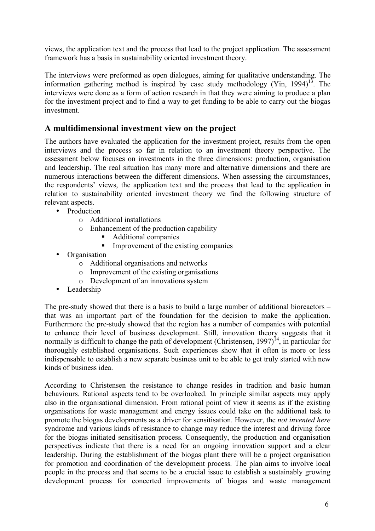views, the application text and the process that lead to the project application. The assessment framework has a basis in sustainability oriented investment theory.

The interviews were preformed as open dialogues, aiming for qualitative understanding. The information gathering method is inspired by case study methodology (Yin, 1994) $13$ . The interviews were done as a form of action research in that they were aiming to produce a plan for the investment project and to find a way to get funding to be able to carry out the biogas investment.

# **A multidimensional investment view on the project**

The authors have evaluated the application for the investment project, results from the open interviews and the process so far in relation to an investment theory perspective. The assessment below focuses on investments in the three dimensions: production, organisation and leadership. The real situation has many more and alternative dimensions and there are numerous interactions between the different dimensions. When assessing the circumstances, the respondents' views, the application text and the process that lead to the application in relation to sustainability oriented investment theory we find the following structure of relevant aspects.

- Production
	- o Additional installations
	- o Enhancement of the production capability
		- Additional companies
		- Improvement of the existing companies
- Organisation
	- o Additional organisations and networks
	- o Improvement of the existing organisations
	- o Development of an innovations system
- Leadership

The pre-study showed that there is a basis to build a large number of additional bioreactors – that was an important part of the foundation for the decision to make the application. Furthermore the pre-study showed that the region has a number of companies with potential to enhance their level of business development. Still, innovation theory suggests that it normally is difficult to change the path of development (Christensen, 1997)<sup>14</sup>, in particular for thoroughly established organisations. Such experiences show that it often is more or less indispensable to establish a new separate business unit to be able to get truly started with new kinds of business idea.

According to Christensen the resistance to change resides in tradition and basic human behaviours. Rational aspects tend to be overlooked. In principle similar aspects may apply also in the organisational dimension. From rational point of view it seems as if the existing organisations for waste management and energy issues could take on the additional task to promote the biogas developments as a driver for sensitisation. However, the *not invented here* syndrome and various kinds of resistance to change may reduce the interest and driving force for the biogas initiated sensitisation process. Consequently, the production and organisation perspectives indicate that there is a need for an ongoing innovation support and a clear leadership. During the establishment of the biogas plant there will be a project organisation for promotion and coordination of the development process. The plan aims to involve local people in the process and that seems to be a crucial issue to establish a sustainably growing development process for concerted improvements of biogas and waste management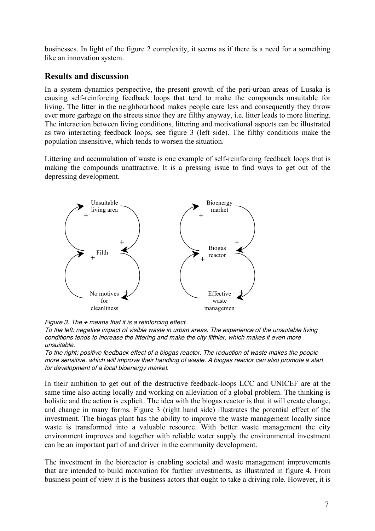businesses. In light of the figure 2 complexity, it seems as if there is a need for a something like an innovation system.

#### **Results and discussion**

In a system dynamics perspective, the present growth of the peri-urban areas of Lusaka is causing self-reinforcing feedback loops that tend to make the compounds unsuitable for living. The litter in the neighbourhood makes people care less and consequently they throw ever more garbage on the streets since they are filthy anyway, i.e. litter leads to more littering. The interaction between living conditions, littering and motivational aspects can be illustrated as two interacting feedback loops, see figure 3 (left side). The filthy conditions make the population insensitive, which tends to worsen the situation.

Littering and accumulation of waste is one example of self-reinforcing feedback loops that is making the compounds unattractive. It is a pressing issue to find ways to get out of the depressing development.



Figure 3. The **<sup>+</sup>** means that it is <sup>a</sup> reinforcing effect

To the left: negative impact of visible waste in urban areas. The experience of the unsuitable living conditions tends to increase the littering and make the city filthier, which makes it even more unsuitable.

To the right: positive feedback effect of <sup>a</sup> biogas reactor. The reduction of waste makes the people more sensitive, which will improve their handling of waste. A biogas reactor can also promote <sup>a</sup> start for development of <sup>a</sup> local bioenergy market.

In their ambition to get out of the destructive feedback-loops LCC and UNICEF are at the same time also acting locally and working on alleviation of a global problem. The thinking is holistic and the action is explicit. The idea with the biogas reactor is that it will create change, and change in many forms. Figure 3 (right hand side) illustrates the potential effect of the investment. The biogas plant has the ability to improve the waste management locally since waste is transformed into a valuable resource. With better waste management the city environment improves and together with reliable water supply the environmental investment can be an important part of and driver in the community development.

The investment in the bioreactor is enabling societal and waste management improvements that are intended to build motivation for further investments, as illustrated in figure 4. From business point of view it is the business actors that ought to take a driving role. However, it is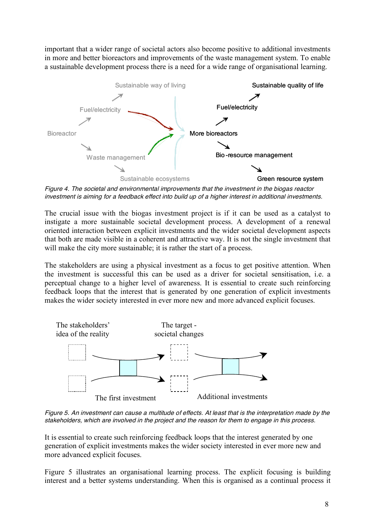important that a wider range of societal actors also become positive to additional investments in more and better bioreactors and improvements of the waste management system. To enable a sustainable development process there is a need for a wide range of organisational learning.



Figure 4. The societal and environmental improvements that the investment in the biogas reactor investment is aiming for <sup>a</sup> feedback effect into build up of <sup>a</sup> higher interest in additional investments.

The crucial issue with the biogas investment project is if it can be used as a catalyst to instigate a more sustainable societal development process. A development of a renewal oriented interaction between explicit investments and the wider societal development aspects that both are made visible in a coherent and attractive way. It is not the single investment that will make the city more sustainable; it is rather the start of a process.

The stakeholders are using a physical investment as a focus to get positive attention. When the investment is successful this can be used as a driver for societal sensitisation, i.e. a perceptual change to a higher level of awareness. It is essential to create such reinforcing feedback loops that the interest that is generated by one generation of explicit investments makes the wider society interested in ever more new and more advanced explicit focuses.



Figure 5. An investment can cause <sup>a</sup> multitude of effects. At least that is the interpretation made by the stakeholders, which are involved in the project and the reason for them to engage in this process.

It is essential to create such reinforcing feedback loops that the interest generated by one generation of explicit investments makes the wider society interested in ever more new and more advanced explicit focuses.

Figure 5 illustrates an organisational learning process. The explicit focusing is building interest and a better systems understanding. When this is organised as a continual process it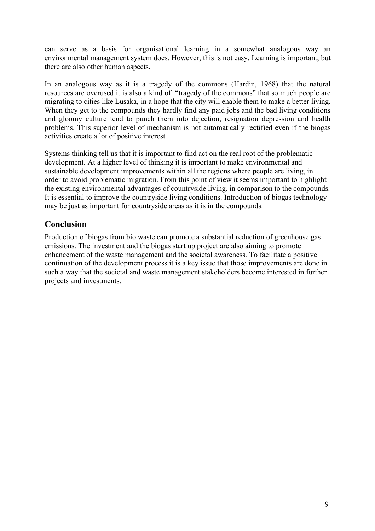can serve as a basis for organisational learning in a somewhat analogous way an environmental management system does. However, this is not easy. Learning is important, but there are also other human aspects.

In an analogous way as it is a tragedy of the commons (Hardin, 1968) that the natural resources are overused it is also a kind of "tragedy of the commons" that so much people are migrating to cities like Lusaka, in a hope that the city will enable them to make a better living. When they get to the compounds they hardly find any paid jobs and the bad living conditions and gloomy culture tend to punch them into dejection, resignation depression and health problems. This superior level of mechanism is not automatically rectified even if the biogas activities create a lot of positive interest.

Systems thinking tell us that it is important to find act on the real root of the problematic development. At a higher level of thinking it is important to make environmental and sustainable development improvements within all the regions where people are living, in order to avoid problematic migration. From this point of view it seems important to highlight the existing environmental advantages of countryside living, in comparison to the compounds. It is essential to improve the countryside living conditions. Introduction of biogas technology may be just as important for countryside areas as it is in the compounds.

# **Conclusion**

Production of biogas from bio waste can promote a substantial reduction of greenhouse gas emissions. The investment and the biogas start up project are also aiming to promote enhancement of the waste management and the societal awareness. To facilitate a positive continuation of the development process it is a key issue that those improvements are done in such a way that the societal and waste management stakeholders become interested in further projects and investments.